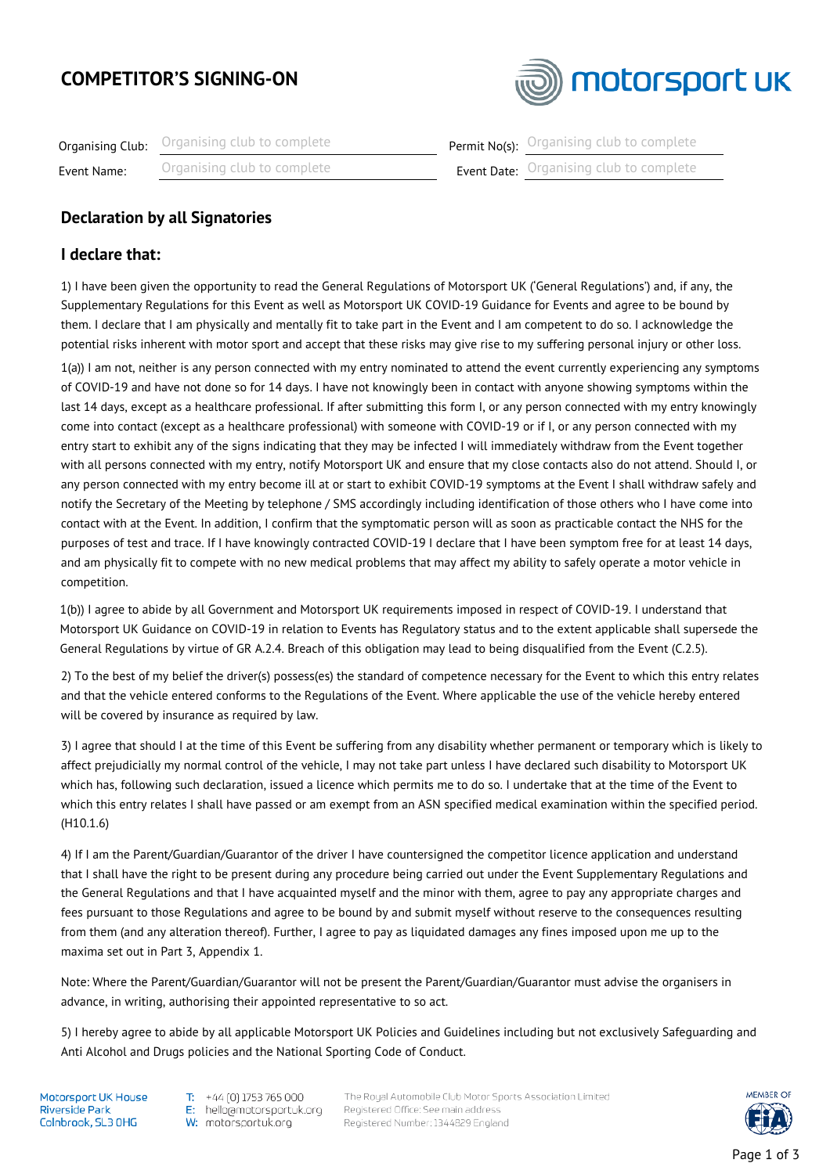# **COMPETITOR'S SIGNING-ON**



|             | <b>Organising Club:</b> Organising club to complete | <b>Permit No(s):</b> Organising club to complete |
|-------------|-----------------------------------------------------|--------------------------------------------------|
| Event Name: | Organising club to complete                         | <b>Event Date:</b> Organising club to complete   |

### **Declaration by all Signatories**

#### **I declare that:**

1) I have been given the opportunity to read the General Regulations of Motorsport UK ('General Regulations') and, if any, the Supplementary Regulations for this Event as well as Motorsport UK COVID-19 Guidance for Events and agree to be bound by them. I declare that I am physically and mentally fit to take part in the Event and I am competent to do so. I acknowledge the potential risks inherent with motor sport and accept that these risks may give rise to my suffering personal injury or other loss. 1(a)) I am not, neither is any person connected with my entry nominated to attend the event currently experiencing any symptoms of COVID-19 and have not done so for 14 days. I have not knowingly been in contact with anyone showing symptoms within the last 14 days, except as a healthcare professional. If after submitting this form I, or any person connected with my entry knowingly come into contact (except as a healthcare professional) with someone with COVID-19 or if I, or any person connected with my entry start to exhibit any of the signs indicating that they may be infected I will immediately withdraw from the Event together with all persons connected with my entry, notify Motorsport UK and ensure that my close contacts also do not attend. Should I, or any person connected with my entry become ill at or start to exhibit COVID-19 symptoms at the Event I shall withdraw safely and notify the Secretary of the Meeting by telephone / SMS accordingly including identification of those others who I have come into contact with at the Event. In addition, I confirm that the symptomatic person will as soon as practicable contact the NHS for the purposes of test and trace. If I have knowingly contracted COVID-19 I declare that I have been symptom free for at least 14 days, and am physically fit to compete with no new medical problems that may affect my ability to safely operate a motor vehicle in competition.

1(b)) I agree to abide by all Government and Motorsport UK requirements imposed in respect of COVID-19. I understand that Motorsport UK Guidance on COVID-19 in relation to Events has Regulatory status and to the extent applicable shall supersede the General Regulations by virtue of GR A.2.4. Breach of this obligation may lead to being disqualified from the Event (C.2.5).

2) To the best of my belief the driver(s) possess(es) the standard of competence necessary for the Event to which this entry relates and that the vehicle entered conforms to the Regulations of the Event. Where applicable the use of the vehicle hereby entered will be covered by insurance as required by law.

3) I agree that should I at the time of this Event be suffering from any disability whether permanent or temporary which is likely to affect prejudicially my normal control of the vehicle, I may not take part unless I have declared such disability to Motorsport UK which has, following such declaration, issued a licence which permits me to do so. I undertake that at the time of the Event to which this entry relates I shall have passed or am exempt from an ASN specified medical examination within the specified period. (H10.1.6)

4) If I am the Parent/Guardian/Guarantor of the driver I have countersigned the competitor licence application and understand that I shall have the right to be present during any procedure being carried out under the Event Supplementary Regulations and the General Regulations and that I have acquainted myself and the minor with them, agree to pay any appropriate charges and fees pursuant to those Regulations and agree to be bound by and submit myself without reserve to the consequences resulting from them (and any alteration thereof). Further, I agree to pay as liquidated damages any fines imposed upon me up to the maxima set out in Part 3, Appendix 1.

Note: Where the Parent/Guardian/Guarantor will not be present the Parent/Guardian/Guarantor must advise the organisers in advance, in writing, authorising their appointed representative to so act.

5) I hereby agree to abide by all applicable Motorsport UK Policies and Guidelines including but not exclusively Safeguarding and Anti Alcohol and Drugs policies and the National Sporting Code of Conduct.

Motorsport UK House **Riverside Park** Colnbrook, SL3 OHG

T. +44 (0) 1753 765 000 E: hello@motorsportuk.org W: motorsportuk.org

The Royal Automobile Club Motor Sports Association Limited Registered Office: See main address Registered Number: 1344829 England

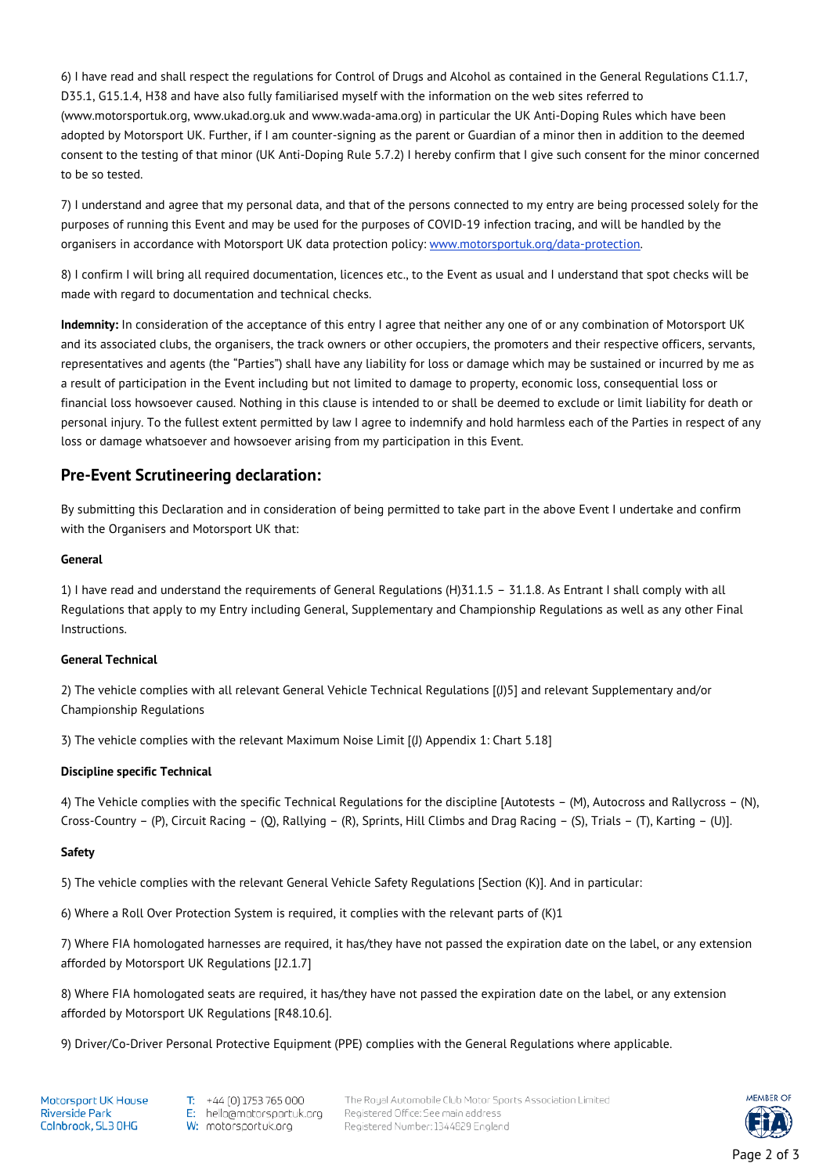6) I have read and shall respect the regulations for Control of Drugs and Alcohol as contained in the General Regulations C1.1.7, D35.1, G15.1.4, H38 and have also fully familiarised myself with the information on the web sites referred to (www.motorsportuk.org, www.ukad.org.uk and www.wada-ama.org) in particular the UK Anti-Doping Rules which have been adopted by Motorsport UK. Further, if I am counter-signing as the parent or Guardian of a minor then in addition to the deemed consent to the testing of that minor (UK Anti-Doping Rule 5.7.2) I hereby confirm that I give such consent for the minor concerned to be so tested.

7) I understand and agree that my personal data, and that of the persons connected to my entry are being processed solely for the purposes of running this Event and may be used for the purposes of COVID-19 infection tracing, and will be handled by the organisers in accordance with Motorsport UK data protection policy: [www.motorsportuk.org/data-protection.](http://www.motorsportuk.org/data-protection)

8) I confirm I will bring all required documentation, licences etc., to the Event as usual and I understand that spot checks will be made with regard to documentation and technical checks.

**Indemnity:** In consideration of the acceptance of this entry I agree that neither any one of or any combination of Motorsport UK and its associated clubs, the organisers, the track owners or other occupiers, the promoters and their respective officers, servants, representatives and agents (the "Parties") shall have any liability for loss or damage which may be sustained or incurred by me as a result of participation in the Event including but not limited to damage to property, economic loss, consequential loss or financial loss howsoever caused. Nothing in this clause is intended to or shall be deemed to exclude or limit liability for death or personal injury. To the fullest extent permitted by law I agree to indemnify and hold harmless each of the Parties in respect of any loss or damage whatsoever and howsoever arising from my participation in this Event.

## **Pre-Event Scrutineering declaration:**

By submitting this Declaration and in consideration of being permitted to take part in the above Event I undertake and confirm with the Organisers and Motorsport UK that:

#### **General**

1) I have read and understand the requirements of General Regulations (H)31.1.5 – 31.1.8. As Entrant I shall comply with all Regulations that apply to my Entry including General, Supplementary and Championship Regulations as well as any other Final Instructions.

#### **General Technical**

2) The vehicle complies with all relevant General Vehicle Technical Regulations [(J)5] and relevant Supplementary and/or Championship Regulations

3) The vehicle complies with the relevant Maximum Noise Limit [(J) Appendix 1: Chart 5.18]

#### **Discipline specific Technical**

4) The Vehicle complies with the specific Technical Regulations for the discipline [Autotests – (M), Autocross and Rallycross – (N), Cross-Country – (P), Circuit Racing – (Q), Rallying – (R), Sprints, Hill Climbs and Drag Racing – (S), Trials – (T), Karting – (U)].

#### **Safety**

5) The vehicle complies with the relevant General Vehicle Safety Regulations [Section (K)]. And in particular:

6) Where a Roll Over Protection System is required, it complies with the relevant parts of (K)1

7) Where FIA homologated harnesses are required, it has/they have not passed the expiration date on the label, or any extension afforded by Motorsport UK Regulations [J2.1.7]

8) Where FIA homologated seats are required, it has/they have not passed the expiration date on the label, or any extension afforded by Motorsport UK Regulations [R48.10.6].

9) Driver/Co-Driver Personal Protective Equipment (PPE) complies with the General Regulations where applicable.